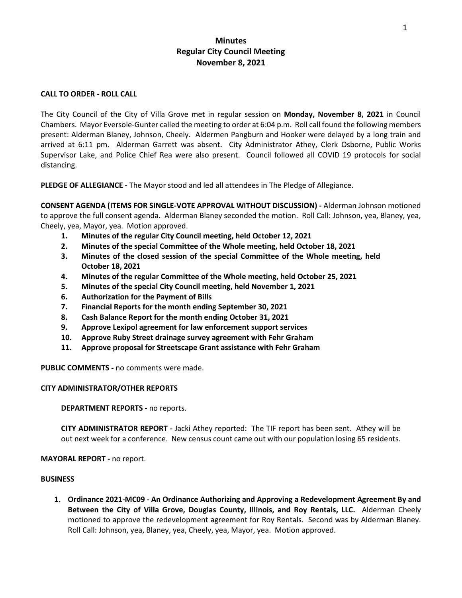# **Minutes Regular City Council Meeting November 8, 2021**

### **CALL TO ORDER - ROLL CALL**

The City Council of the City of Villa Grove met in regular session on **Monday, November 8, 2021** in Council Chambers. Mayor Eversole-Gunter called the meeting to order at 6:04 p.m. Roll call found the following members present: Alderman Blaney, Johnson, Cheely. Aldermen Pangburn and Hooker were delayed by a long train and arrived at 6:11 pm. Alderman Garrett was absent. City Administrator Athey, Clerk Osborne, Public Works Supervisor Lake, and Police Chief Rea were also present. Council followed all COVID 19 protocols for social distancing.

**PLEDGE OF ALLEGIANCE -** The Mayor stood and led all attendees in The Pledge of Allegiance.

**CONSENT AGENDA (ITEMS FOR SINGLE-VOTE APPROVAL WITHOUT DISCUSSION) -** Alderman Johnson motioned to approve the full consent agenda. Alderman Blaney seconded the motion. Roll Call: Johnson, yea, Blaney, yea, Cheely, yea, Mayor, yea. Motion approved.

- **1. Minutes of the regular City Council meeting, held October 12, 2021**
- **2. Minutes of the special Committee of the Whole meeting, held October 18, 2021**
- **3. Minutes of the closed session of the special Committee of the Whole meeting, held October 18, 2021**
- **4. Minutes of the regular Committee of the Whole meeting, held October 25, 2021**
- **5. Minutes of the special City Council meeting, held November 1, 2021**
- **6. Authorization for the Payment of Bills**
- **7. Financial Reports for the month ending September 30, 2021**
- **8. Cash Balance Report for the month ending October 31, 2021**
- **9. Approve Lexipol agreement for law enforcement support services**
- **10. Approve Ruby Street drainage survey agreement with Fehr Graham**
- **11. Approve proposal for Streetscape Grant assistance with Fehr Graham**

**PUBLIC COMMENTS -** no comments were made.

### **CITY ADMINISTRATOR/OTHER REPORTS**

**DEPARTMENT REPORTS -** no reports.

**CITY ADMINISTRATOR REPORT -** Jacki Athey reported: The TIF report has been sent. Athey will be out next week for a conference. New census count came out with our population losing 65 residents.

**MAYORAL REPORT -** no report.

#### **BUSINESS**

**1. Ordinance 2021-MC09 - An Ordinance Authorizing and Approving a Redevelopment Agreement By and Between the City of Villa Grove, Douglas County, Illinois, and Roy Rentals, LLC.** Alderman Cheely motioned to approve the redevelopment agreement for Roy Rentals. Second was by Alderman Blaney. Roll Call: Johnson, yea, Blaney, yea, Cheely, yea, Mayor, yea. Motion approved.